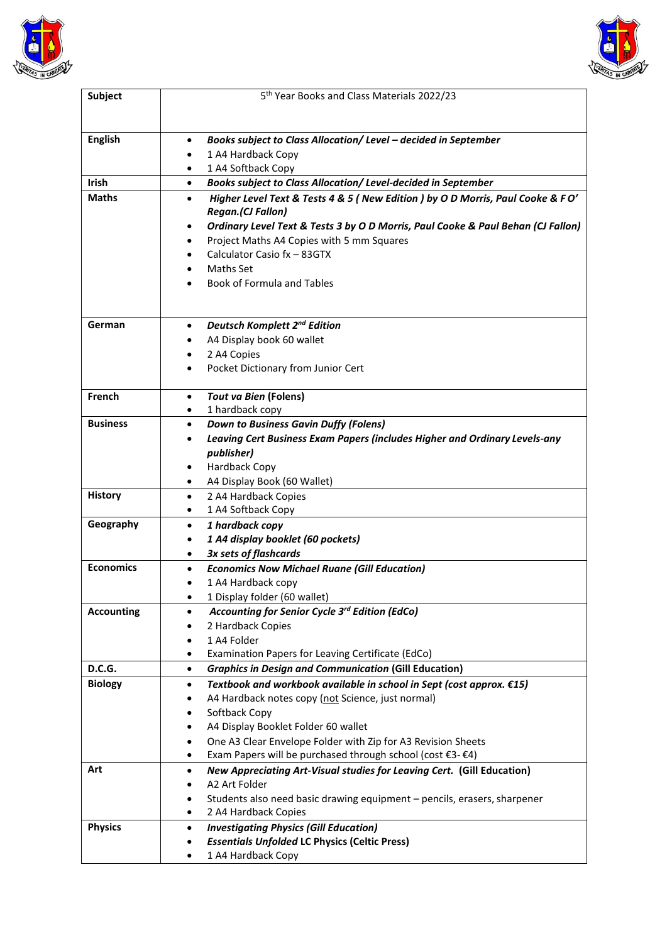



| <b>Subject</b>    | 5 <sup>th</sup> Year Books and Class Materials 2022/23                                      |
|-------------------|---------------------------------------------------------------------------------------------|
| <b>English</b>    | Books subject to Class Allocation/ Level - decided in September<br>$\bullet$                |
|                   |                                                                                             |
|                   | 1 A4 Hardback Copy<br>$\bullet$<br>1 A4 Softback Copy<br>$\bullet$                          |
| <b>Irish</b>      | Books subject to Class Allocation/ Level-decided in September<br>$\bullet$                  |
| <b>Maths</b>      | Higher Level Text & Tests 4 & 5 (New Edition ) by O D Morris, Paul Cooke & FO'<br>$\bullet$ |
|                   | <b>Regan.(CJ Fallon)</b>                                                                    |
|                   | Ordinary Level Text & Tests 3 by O D Morris, Paul Cooke & Paul Behan (CJ Fallon)<br>٠       |
|                   | Project Maths A4 Copies with 5 mm Squares<br>$\bullet$                                      |
|                   | Calculator Casio fx - 83GTX<br>$\bullet$                                                    |
|                   | Maths Set                                                                                   |
|                   | <b>Book of Formula and Tables</b>                                                           |
|                   |                                                                                             |
| German            | <b>Deutsch Komplett 2nd Edition</b><br>$\bullet$                                            |
|                   | A4 Display book 60 wallet<br>٠                                                              |
|                   | 2 A4 Copies<br>٠                                                                            |
|                   | Pocket Dictionary from Junior Cert<br>٠                                                     |
| French            | <b>Tout va Bien (Folens)</b><br>$\bullet$                                                   |
|                   | 1 hardback copy<br>$\bullet$                                                                |
| <b>Business</b>   | <b>Down to Business Gavin Duffy (Folens)</b><br>$\bullet$                                   |
|                   | Leaving Cert Business Exam Papers (includes Higher and Ordinary Levels-any                  |
|                   | publisher)                                                                                  |
|                   | Hardback Copy<br>٠                                                                          |
|                   | A4 Display Book (60 Wallet)<br>٠                                                            |
| <b>History</b>    | 2 A4 Hardback Copies<br>$\bullet$<br>1 A4 Softback Copy<br>٠                                |
| Geography         | 1 hardback copy<br>$\bullet$                                                                |
|                   | 1 A4 display booklet (60 pockets)<br>٠                                                      |
|                   | 3x sets of flashcards<br>٠                                                                  |
| <b>Economics</b>  | <b>Economics Now Michael Ruane (Gill Education)</b><br>$\bullet$                            |
|                   | 1 A4 Hardback copy                                                                          |
|                   | 1 Display folder (60 wallet)<br>$\bullet$                                                   |
| <b>Accounting</b> | Accounting for Senior Cycle 3rd Edition (EdCo)<br>٠                                         |
|                   | 2 Hardback Copies<br>٠                                                                      |
|                   | 1 A4 Folder<br>٠                                                                            |
|                   | Examination Papers for Leaving Certificate (EdCo)<br>$\bullet$                              |
| <b>D.C.G.</b>     | <b>Graphics in Design and Communication (Gill Education)</b><br>$\bullet$                   |
| <b>Biology</b>    | Textbook and workbook available in school in Sept (cost approx. €15)<br>$\bullet$           |
|                   | A4 Hardback notes copy (not Science, just normal)<br>٠                                      |
|                   | Softback Copy<br>٠                                                                          |
|                   | A4 Display Booklet Folder 60 wallet<br>٠                                                    |
|                   | One A3 Clear Envelope Folder with Zip for A3 Revision Sheets<br>$\bullet$                   |
|                   | Exam Papers will be purchased through school (cost €3- €4)<br>$\bullet$                     |
| Art               | New Appreciating Art-Visual studies for Leaving Cert. (Gill Education)<br>$\bullet$         |
|                   | A2 Art Folder<br>٠                                                                          |
|                   | Students also need basic drawing equipment - pencils, erasers, sharpener<br>$\bullet$       |
|                   | 2 A4 Hardback Copies<br>٠                                                                   |
| <b>Physics</b>    | <b>Investigating Physics (Gill Education)</b><br>$\bullet$                                  |
|                   | <b>Essentials Unfolded LC Physics (Celtic Press)</b><br>٠                                   |
|                   | 1 A4 Hardback Copy<br>$\bullet$                                                             |